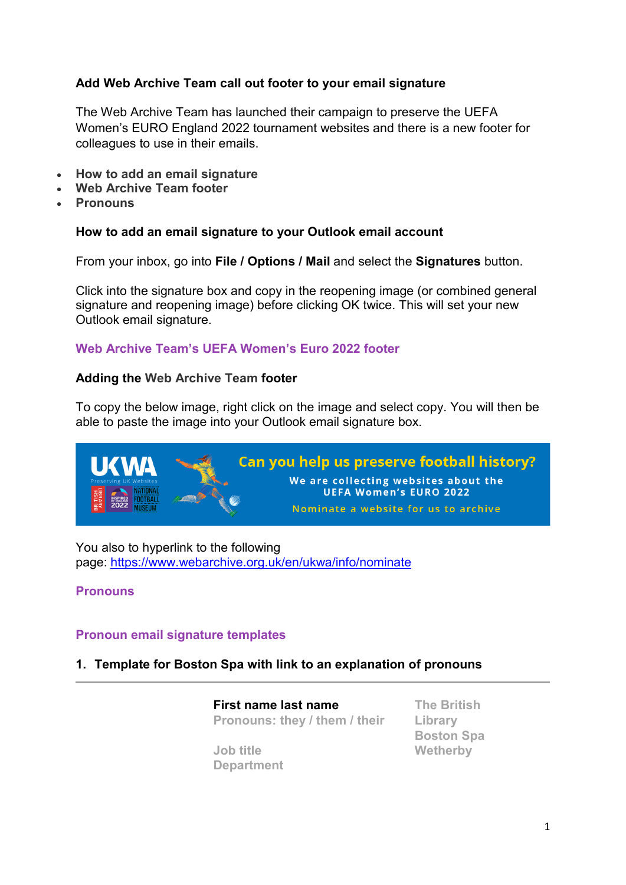# **Add Web Archive Team call out footer to your email signature**

The Web Archive Team has launched their campaign to preserve the UEFA Women's EURO England 2022 tournament websites and there is a new footer for colleagues to use in their emails.

- **How to add an email signature**
- **Web Archive Team footer**
- **Pronouns**

#### **How to add an email signature to your Outlook email account**

From your inbox, go into **File / Options / Mail** and select the **Signatures** button.

Click into the signature box and copy in the reopening image (or combined general signature and reopening image) before clicking OK twice. This will set your new Outlook email signature.

## **Web Archive Team's UEFA Women's Euro 2022 footer**

#### **Adding the Web Archive Team footer**

To copy the below image, right click on the image and select copy. You will then be able to paste the image into your Outlook email signature box.



You also to hyperlink to the following page: [https://www.webarchive.org.uk/en/ukwa/info/nominate](https://gbr01.safelinks.protection.outlook.com/?url=https%3A%2F%2Fwww.webarchive.org.uk%2Fen%2Fukwa%2Finfo%2Fnominate&data=05%7C01%7C%7C319c6595e7414c01bc0d08da43b1e1b5%7C21a44cb7f9c34f009afabd1e8e88bcd9%7C0%7C0%7C637896728508218009%7CUnknown%7CTWFpbGZsb3d8eyJWIjoiMC4wLjAwMDAiLCJQIjoiV2luMzIiLCJBTiI6Ik1haWwiLCJXVCI6Mn0%3D%7C3000%7C%7C%7C&sdata=509JuTK5Y76KdEPymoEzRhVJVBmhWj1GzB6Fa0DGP6A%3D&reserved=0)

## **Pronouns**

## **Pronoun email signature templates**

#### **1. Template for Boston Spa with link to an explanation of pronouns**

**First name last name Pronouns: they / them / their**

**Job title Department** **The British Library Boston Spa Wetherby**